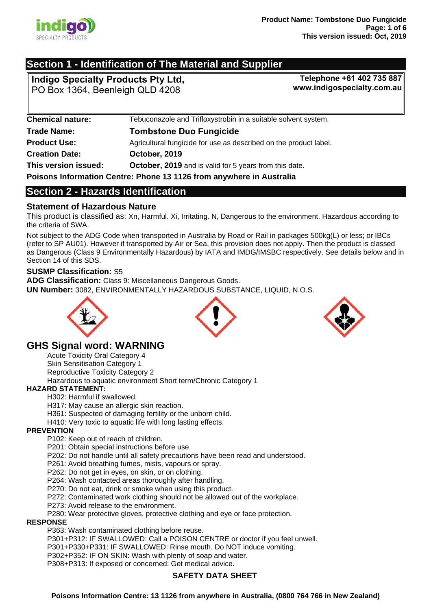

# **Section 1 - Identification of The Material and Supplier**

**Indigo Specialty Products Pty Ltd,**  PO Box 1364, Beenleigh QLD 4208

**Telephone +61 402 735 887 www.indigospecialty.com.au**

| <b>Chemical nature:</b>                                                     | Tebuconazole and Trifloxystrobin in a suitable solvent system.    |  |
|-----------------------------------------------------------------------------|-------------------------------------------------------------------|--|
| <b>Trade Name:</b>                                                          | <b>Tombstone Duo Fungicide</b>                                    |  |
| <b>Product Use:</b>                                                         | Agricultural fungicide for use as described on the product label. |  |
| <b>Creation Date:</b>                                                       | October, 2019                                                     |  |
| This version issued:                                                        | <b>October, 2019</b> and is valid for 5 years from this date.     |  |
| <b>Poisons Information Centre: Phone 13 1126 from anywhere in Australia</b> |                                                                   |  |

**Poisons Information Centre: Phone 13 1126 from anywhere in Australia** 

# **Section 2 - Hazards Identification**

## **Statement of Hazardous Nature**

This product is classified as: Xn, Harmful. Xi, Irritating. N, Dangerous to the environment. Hazardous according to the criteria of SWA.

Not subject to the ADG Code when transported in Australia by Road or Rail in packages 500kg(L) or less; or IBCs (refer to SP AU01). However if transported by Air or Sea, this provision does not apply. Then the product is classed as Dangerous (Class 9 Environmentally Hazardous) by IATA and IMDG/IMSBC respectively. See details below and in Section 14 of this SDS.

## **SUSMP Classification:** S5

**ADG Classification:** Class 9: Miscellaneous Dangerous Goods. **UN Number:** 3082, ENVIRONMENTALLY HAZARDOUS SUBSTANCE, LIQUID, N.O.S.



# **GHS Signal word: WARNING**

Acute Toxicity Oral Category 4 Skin Sensitisation Category 1 Reproductive Toxicity Category 2 Hazardous to aquatic environment Short term/Chronic Category 1

## **HAZARD STATEMENT:**

H302: Harmful if swallowed.

H317: May cause an allergic skin reaction.

H361: Suspected of damaging fertility or the unborn child.

H410: Very toxic to aquatic life with long lasting effects.

## **PREVENTION**

P102: Keep out of reach of children.

P201: Obtain special instructions before use.

P202: Do not handle until all safety precautions have been read and understood.

P261: Avoid breathing fumes, mists, vapours or spray.

P262: Do not get in eyes, on skin, or on clothing.

P264: Wash contacted areas thoroughly after handling.

P270: Do not eat, drink or smoke when using this product.

P272: Contaminated work clothing should not be allowed out of the workplace.

P273: Avoid release to the environment.

P280: Wear protective gloves, protective clothing and eye or face protection.

#### **RESPONSE**

P363: Wash contaminated clothing before reuse.

P301+P312: IF SWALLOWED: Call a POISON CENTRE or doctor if you feel unwell.

P301+P330+P331: IF SWALLOWED: Rinse mouth. Do NOT induce vomiting.

P302+P352: IF ON SKIN: Wash with plenty of soap and water.

P308+P313: If exposed or concerned: Get medical advice.

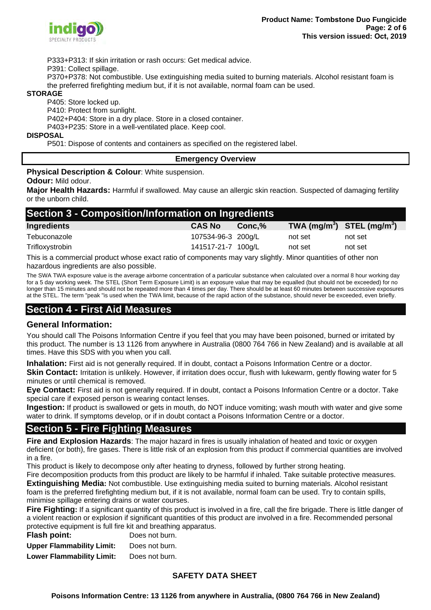

P333+P313: If skin irritation or rash occurs: Get medical advice.

P391: Collect spillage.

P370+P378: Not combustible. Use extinguishing media suited to burning materials. Alcohol resistant foam is the preferred firefighting medium but, if it is not available, normal foam can be used.

#### **STORAGE**

P405: Store locked up.

P410: Protect from sunlight.

P402+P404: Store in a dry place. Store in a closed container.

P403+P235: Store in a well-ventilated place. Keep cool.

#### **DISPOSAL**

P501: Dispose of contents and containers as specified on the registered label.

#### **Emergency Overview**

#### **Physical Description & Colour: White suspension.**

**Odour:** Mild odour.

**Major Health Hazards:** Harmful if swallowed. May cause an allergic skin reaction. Suspected of damaging fertility or the unborn child.

| Section 3 - Composition/Information on Ingredients |                    |        |                                |         |  |
|----------------------------------------------------|--------------------|--------|--------------------------------|---------|--|
| Ingredients                                        | <b>CAS No</b>      | Conc.% | TWA $(mg/m^3)$ STEL $(mg/m^3)$ |         |  |
| Tebuconazole                                       | 107534-96-3 200g/L |        | not set                        | not set |  |
| Trifloxystrobin                                    | 141517-21-7 100g/L |        | not set                        | not set |  |
|                                                    |                    |        |                                |         |  |

This is a commercial product whose exact ratio of components may vary slightly. Minor quantities of other non hazardous ingredients are also possible.

The SWA TWA exposure value is the average airborne concentration of a particular substance when calculated over a normal 8 hour working day for a 5 day working week. The STEL (Short Term Exposure Limit) is an exposure value that may be equalled (but should not be exceeded) for no longer than 15 minutes and should not be repeated more than 4 times per day. There should be at least 60 minutes between successive exposures at the STEL. The term "peak "is used when the TWA limit, because of the rapid action of the substance, should never be exceeded, even briefly.

# **Section 4 - First Aid Measures**

## **General Information:**

You should call The Poisons Information Centre if you feel that you may have been poisoned, burned or irritated by this product. The number is 13 1126 from anywhere in Australia (0800 764 766 in New Zealand) and is available at all times. Have this SDS with you when you call.

**Inhalation:** First aid is not generally required. If in doubt, contact a Poisons Information Centre or a doctor. **Skin Contact:** Irritation is unlikely. However, if irritation does occur, flush with lukewarm, gently flowing water for 5 minutes or until chemical is removed.

**Eye Contact:** First aid is not generally required. If in doubt, contact a Poisons Information Centre or a doctor. Take special care if exposed person is wearing contact lenses.

**Ingestion:** If product is swallowed or gets in mouth, do NOT induce vomiting; wash mouth with water and give some water to drink. If symptoms develop, or if in doubt contact a Poisons Information Centre or a doctor.

# **Section 5 - Fire Fighting Measures**

**Fire and Explosion Hazards**: The major hazard in fires is usually inhalation of heated and toxic or oxygen deficient (or both), fire gases. There is little risk of an explosion from this product if commercial quantities are involved in a fire.

This product is likely to decompose only after heating to dryness, followed by further strong heating.

Fire decomposition products from this product are likely to be harmful if inhaled. Take suitable protective measures.

**Extinguishing Media:** Not combustible. Use extinguishing media suited to burning materials. Alcohol resistant foam is the preferred firefighting medium but, if it is not available, normal foam can be used. Try to contain spills, minimise spillage entering drains or water courses.

**Fire Fighting:** If a significant quantity of this product is involved in a fire, call the fire brigade. There is little danger of a violent reaction or explosion if significant quantities of this product are involved in a fire. Recommended personal protective equipment is full fire kit and breathing apparatus.

| Flash point:                     | Does not burn. |
|----------------------------------|----------------|
| <b>Upper Flammability Limit:</b> | Does not burn. |
| <b>Lower Flammability Limit:</b> | Does not burn. |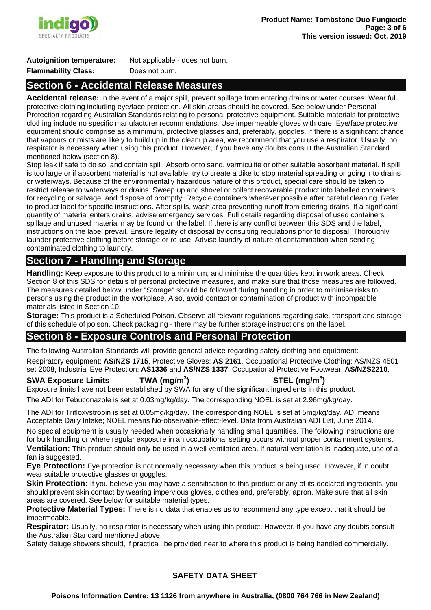

#### **Autoignition temperature:** Not applicable - does not burn. **Flammability Class:** Does not burn.

# **Section 6 - Accidental Release Measures**

**Accidental release:** In the event of a major spill, prevent spillage from entering drains or water courses. Wear full protective clothing including eye/face protection. All skin areas should be covered. See below under Personal Protection regarding Australian Standards relating to personal protective equipment. Suitable materials for protective clothing include no specific manufacturer recommendations. Use impermeable gloves with care. Eye/face protective equipment should comprise as a minimum, protective glasses and, preferably, goggles. If there is a significant chance that vapours or mists are likely to build up in the cleanup area, we recommend that you use a respirator. Usually, no respirator is necessary when using this product. However, if you have any doubts consult the Australian Standard mentioned below (section 8).

Stop leak if safe to do so, and contain spill. Absorb onto sand, vermiculite or other suitable absorbent material. If spill is too large or if absorbent material is not available, try to create a dike to stop material spreading or going into drains or waterways. Because of the environmentally hazardous nature of this product, special care should be taken to restrict release to waterways or drains. Sweep up and shovel or collect recoverable product into labelled containers for recycling or salvage, and dispose of promptly. Recycle containers wherever possible after careful cleaning. Refer to product label for specific instructions. After spills, wash area preventing runoff from entering drains. If a significant quantity of material enters drains, advise emergency services. Full details regarding disposal of used containers, spillage and unused material may be found on the label. If there is any conflict between this SDS and the label, instructions on the label prevail. Ensure legality of disposal by consulting regulations prior to disposal. Thoroughly launder protective clothing before storage or re-use. Advise laundry of nature of contamination when sending contaminated clothing to laundry.

# **Section 7 - Handling and Storage**

**Handling:** Keep exposure to this product to a minimum, and minimise the quantities kept in work areas. Check Section 8 of this SDS for details of personal protective measures, and make sure that those measures are followed. The measures detailed below under "Storage" should be followed during handling in order to minimise risks to persons using the product in the workplace. Also, avoid contact or contamination of product with incompatible materials listed in Section 10.

**Storage:** This product is a Scheduled Poison. Observe all relevant regulations regarding sale, transport and storage of this schedule of poison. Check packaging - there may be further storage instructions on the label.

# **Section 8 - Exposure Controls and Personal Protection**

The following Australian Standards will provide general advice regarding safety clothing and equipment:

Respiratory equipment: **AS/NZS 1715**, Protective Gloves: **AS 2161**, Occupational Protective Clothing: AS/NZS 4501 set 2008, Industrial Eye Protection: **AS1336** and **AS/NZS 1337**, Occupational Protective Footwear: **AS/NZS2210**.

**SWA Exposure Limits TWA (mg/m<sup>3</sup> ) STEL (mg/m<sup>3</sup> )**  Exposure limits have not been established by SWA for any of the significant ingredients in this product. The ADI for Tebuconazole is set at 0.03mg/kg/day. The corresponding NOEL is set at 2.96mg/kg/day.

The ADI for Trifloxystrobin is set at 0.05mg/kg/day. The corresponding NOEL is set at 5mg/kg/day. ADI means Acceptable Daily Intake; NOEL means No-observable-effect-level. Data from Australian ADI List, June 2014.

No special equipment is usually needed when occasionally handling small quantities. The following instructions are for bulk handling or where regular exposure in an occupational setting occurs without proper containment systems. **Ventilation:** This product should only be used in a well ventilated area. If natural ventilation is inadequate, use of a fan is suggested.

**Eye Protection:** Eye protection is not normally necessary when this product is being used. However, if in doubt, wear suitable protective glasses or goggles.

**Skin Protection:** If you believe you may have a sensitisation to this product or any of its declared ingredients, you should prevent skin contact by wearing impervious gloves, clothes and, preferably, apron. Make sure that all skin areas are covered. See below for suitable material types.

**Protective Material Types:** There is no data that enables us to recommend any type except that it should be impermeable.

**Respirator:** Usually, no respirator is necessary when using this product. However, if you have any doubts consult the Australian Standard mentioned above.

Safety deluge showers should, if practical, be provided near to where this product is being handled commercially.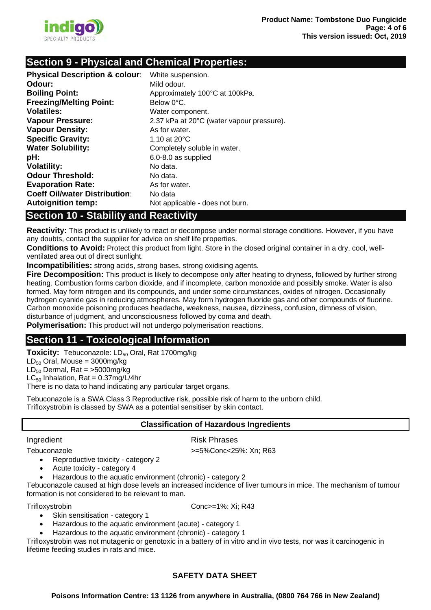

# **Section 9 - Physical and Chemical Properties:**

| <b>Physical Description &amp; colour:</b> | White suspension.                         |
|-------------------------------------------|-------------------------------------------|
| Odour:                                    | Mild odour.                               |
| <b>Boiling Point:</b>                     | Approximately 100°C at 100kPa.            |
| <b>Freezing/Melting Point:</b>            | Below 0°C.                                |
| Volatiles:                                | Water component.                          |
| <b>Vapour Pressure:</b>                   | 2.37 kPa at 20°C (water vapour pressure). |
| <b>Vapour Density:</b>                    | As for water.                             |
| <b>Specific Gravity:</b>                  | 1.10 at $20^{\circ}$ C                    |
| <b>Water Solubility:</b>                  | Completely soluble in water.              |
| pH:                                       | 6.0-8.0 as supplied                       |
| <b>Volatility:</b>                        | No data.                                  |
| <b>Odour Threshold:</b>                   | No data.                                  |
| <b>Evaporation Rate:</b>                  | As for water.                             |
| <b>Coeff Oil/water Distribution:</b>      | No data                                   |
| <b>Autoignition temp:</b>                 | Not applicable - does not burn.           |

# **Section 10 - Stability and Reactivity**

**Reactivity:** This product is unlikely to react or decompose under normal storage conditions. However, if you have any doubts, contact the supplier for advice on shelf life properties.

**Conditions to Avoid:** Protect this product from light. Store in the closed original container in a dry, cool, wellventilated area out of direct sunlight.

**Incompatibilities:** strong acids, strong bases, strong oxidising agents.

**Fire Decomposition:** This product is likely to decompose only after heating to dryness, followed by further strong heating. Combustion forms carbon dioxide, and if incomplete, carbon monoxide and possibly smoke. Water is also formed. May form nitrogen and its compounds, and under some circumstances, oxides of nitrogen. Occasionally hydrogen cyanide gas in reducing atmospheres. May form hydrogen fluoride gas and other compounds of fluorine. Carbon monoxide poisoning produces headache, weakness, nausea, dizziness, confusion, dimness of vision, disturbance of judgment, and unconsciousness followed by coma and death.

**Polymerisation:** This product will not undergo polymerisation reactions.

# **Section 11 - Toxicological Information**

**Toxicity:** Tebuconazole: LD<sub>50</sub> Oral, Rat 1700mg/kg

 $LD_{50}$  Oral, Mouse = 3000mg/kg

 $LD_{50}$  Dermal, Rat = >5000mg/kg

 $LC_{50}$  Inhalation, Rat = 0.37mg/L/4hr

There is no data to hand indicating any particular target organs.

Tebuconazole is a SWA Class 3 Reproductive risk, possible risk of harm to the unborn child. Trifloxystrobin is classed by SWA as a potential sensitiser by skin contact.

## **Classification of Hazardous Ingredients**

#### Ingredient **Risk Phrases**

Tebuconazole >=5%Conc<25%: Xn; R63 Reproductive toxicity - category 2

- Acute toxicity category 4
- Hazardous to the aquatic environment (chronic) category 2

Tebuconazole caused at high dose levels an increased incidence of liver tumours in mice. The mechanism of tumour formation is not considered to be relevant to man.

Trifloxystrobin Conc>=1%: Xi; R43

- Skin sensitisation category 1
- Hazardous to the aquatic environment (acute) category 1
- Hazardous to the aquatic environment (chronic) category 1

Trifloxystrobin was not mutagenic or genotoxic in a battery of in vitro and in vivo tests, nor was it carcinogenic in lifetime feeding studies in rats and mice.

# **SAFETY DATA SHEET**

**Poisons Information Centre: 13 1126 from anywhere in Australia, (0800 764 766 in New Zealand)**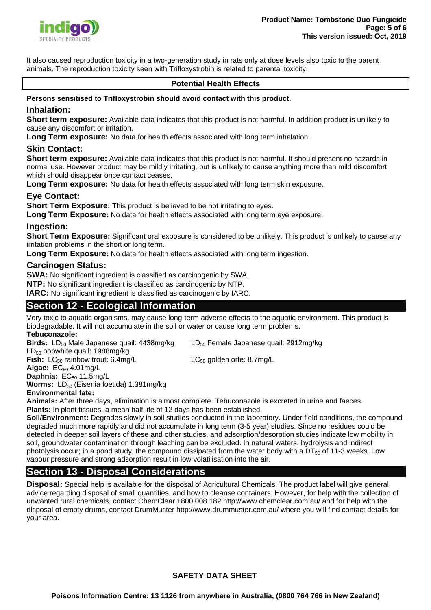

It also caused reproduction toxicity in a two-generation study in rats only at dose levels also toxic to the parent animals. The reproduction toxicity seen with Trifloxystrobin is related to parental toxicity.

## **Potential Health Effects**

#### **Persons sensitised to Trifloxystrobin should avoid contact with this product.**

#### **Inhalation:**

**Short term exposure:** Available data indicates that this product is not harmful. In addition product is unlikely to cause any discomfort or irritation.

**Long Term exposure:** No data for health effects associated with long term inhalation.

## **Skin Contact:**

**Short term exposure:** Available data indicates that this product is not harmful. It should present no hazards in normal use. However product may be mildly irritating, but is unlikely to cause anything more than mild discomfort which should disappear once contact ceases.

**Long Term exposure:** No data for health effects associated with long term skin exposure.

## **Eye Contact:**

**Short Term Exposure:** This product is believed to be not irritating to eyes.

**Long Term Exposure:** No data for health effects associated with long term eye exposure.

#### **Ingestion:**

**Short Term Exposure:** Significant oral exposure is considered to be unlikely. This product is unlikely to cause any irritation problems in the short or long term.

**Long Term Exposure:** No data for health effects associated with long term ingestion.

#### **Carcinogen Status:**

**SWA:** No significant ingredient is classified as carcinogenic by SWA.

**NTP:** No significant ingredient is classified as carcinogenic by NTP.

**IARC:** No significant ingredient is classified as carcinogenic by IARC.

## **Section 12 - Ecological Information**

Very toxic to aquatic organisms, may cause long-term adverse effects to the aquatic environment. This product is biodegradable. It will not accumulate in the soil or water or cause long term problems.

#### **Tebuconazole:**

**Birds:** LD<sub>50</sub> Male Japanese quail: 4438mg/kg LD<sub>50</sub> Female Japanese quail: 2912mg/kg LD<sub>50</sub> bobwhite quail: 1988mg/kg **Fish:** LC<sub>50</sub> rainbow trout: 6.4mg/L LC<sub>50</sub> golden orfe: 8.7mg/L

**Algae:** EC<sub>50</sub> 4.01mg/L

Daphnia: EC<sub>50</sub> 11.5mg/L

**Worms:** LD<sub>50</sub> (Eisenia foetida) 1.381mg/kg

#### **Environmental fate:**

**Animals:** After three days, elimination is almost complete. Tebuconazole is excreted in urine and faeces. **Plants:** In plant tissues, a mean half life of 12 days has been established.

**Soil/Environment:** Degrades slowly in soil studies conducted in the laboratory. Under field conditions, the compound degraded much more rapidly and did not accumulate in long term (3-5 year) studies. Since no residues could be detected in deeper soil layers of these and other studies, and adsorption/desorption studies indicate low mobility in soil, groundwater contamination through leaching can be excluded. In natural waters, hydrolysis and indirect photolysis occur; in a pond study, the compound dissipated from the water body with a  $DT_{50}$  of 11-3 weeks. Low vapour pressure and strong adsorption result in low volatilisation into the air.

# **Section 13 - Disposal Considerations**

**Disposal:** Special help is available for the disposal of Agricultural Chemicals. The product label will give general advice regarding disposal of small quantities, and how to cleanse containers. However, for help with the collection of unwanted rural chemicals, contact ChemClear 1800 008 182 http://www.chemclear.com.au/ and for help with the disposal of empty drums, contact DrumMuster http://www.drummuster.com.au/ where you will find contact details for your area.